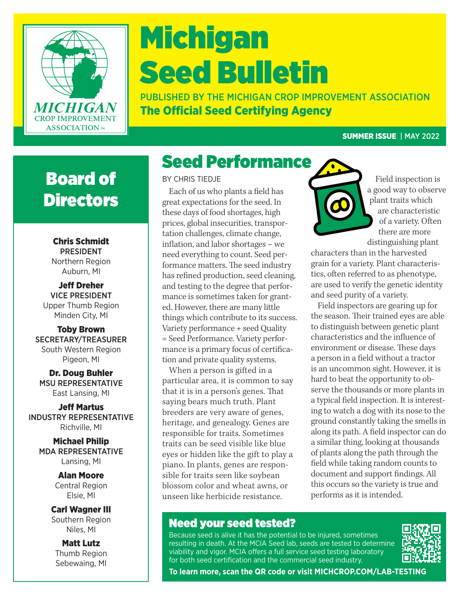

# Michigan Seed Bulletin

PUBLISHED BY THE MICHIGAN CROP IMPROVEMENT ASSOCIATION The Official Seed Certifying Agency

#### SUMMER ISSUE | MAY 2022

### Board of **Directors**

Chris Schmidt PRESIDENT Northern Region Auburn, MI

Jeff Dreher VICE PRESIDENT Upper Thumb Region Minden City, MI

Toby Brown SECRETARY/TREASURER South Western Region Pigeon, MI

Dr. Doug Buhler MSU REPRESENTATIVE East Lansing, MI

Jeff Martus INDUSTRY REPRESENTATIVE Richville, MI

Michael Philip MDA REPRESENTATIVE Lansing, MI

> Alan Moore Central Region Elsie, MI

Carl Wagner III Southern Region Niles, MI

Matt Lutz Thumb Region Sebewaing, MI BY CHRIS TIEDJE

Each of us who plants a field has great expectations for the seed. In these days of food shortages, high prices, global insecurities, transportation challenges, climate change, inflation, and labor shortages – we need everything to count. Seed performance matters. The seed industry has refined production, seed cleaning, and testing to the degree that performance is sometimes taken for granted. However, there are many little things which contribute to its success. Variety performance + seed Quality = Seed Performance. Variety performance is a primary focus of certification and private quality systems.

When a person is gifted in a particular area, it is common to say that it is in a person's genes. That saying bears much truth. Plant breeders are very aware of genes, heritage, and genealogy. Genes are responsible for traits. Sometimes traits can be seed visible like blue eyes or hidden like the gift to play a piano. In plants, genes are responsible for traits seen like soybean blossom color and wheat awns, or unseen like herbicide resistance.



Field inspection is a good way to observe plant traits which are characteristic of a variety. Often there are more distinguishing plant

characters than in the harvested grain for a variety. Plant characteristics, often referred to as phenotype, are used to verify the genetic identity and seed purity of a variety.

Field inspectors are gearing up for the season. Their trained eyes are able to distinguish between genetic plant characteristics and the influence of environment or disease. These days a person in a field without a tractor is an uncommon sight. However, it is hard to beat the opportunity to observe the thousands or more plants in a typical field inspection. It is interesting to watch a dog with its nose to the ground constantly taking the smells in along its path. A field inspector can do a similar thing, looking at thousands of plants along the path through the field while taking random counts to document and support findings. All this occurs so the variety is true and performs as it is intended.

#### Need your seed tested?

Because seed is alive it has the potential to be injured, sometimes resulting in death. At the MCIA Seed lab, seeds are tested to determine viability and vigor. MCIA offers a full service seed testing laboratory for both seed certification and the commercial seed industry.



**To learn more, scan the QR code or visit MICHCROP.COM/LAB-TESTING**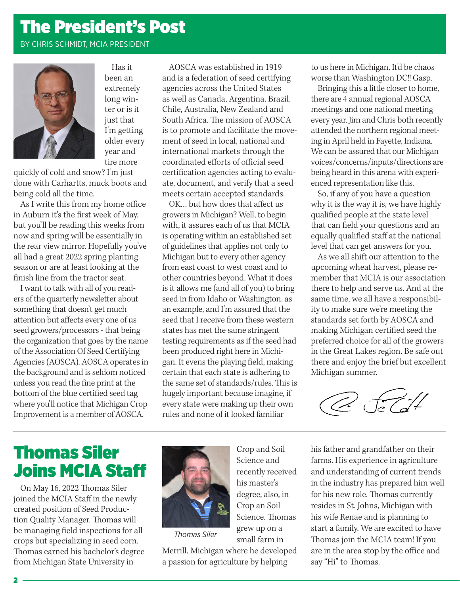### The President's Post

#### BY CHRIS SCHMIDT, MCIA PRESIDENT



Has it been an extremely long winter or is it just that I'm getting older every year and tire more

quickly of cold and snow? I'm just done with Carhartts, muck boots and being cold all the time.

As I write this from my home office in Auburn it's the first week of May, but you'll be reading this weeks from now and spring will be essentially in the rear view mirror. Hopefully you've all had a great 2022 spring planting season or are at least looking at the finish line from the tractor seat.

I want to talk with all of you readers of the quarterly newsletter about something that doesn't get much attention but affects every one of us seed growers/processors - that being the organization that goes by the name of the Association Of Seed Certifying Agencies (AOSCA). AOSCA operates in the background and is seldom noticed unless you read the fine print at the bottom of the blue certified seed tag where you'll notice that Michigan Crop Improvement is a member of AOSCA.

AOSCA was established in 1919 and is a federation of seed certifying agencies across the United States as well as Canada, Argentina, Brazil, Chile, Australia, New Zealand and South Africa. The mission of AOSCA is to promote and facilitate the movement of seed in local, national and international markets through the coordinated efforts of official seed certification agencies acting to evaluate, document, and verify that a seed meets certain accepted standards.

OK… but how does that affect us growers in Michigan? Well, to begin with, it assures each of us that MCIA is operating within an established set of guidelines that applies not only to Michigan but to every other agency from east coast to west coast and to other countries beyond. What it does is it allows me (and all of you) to bring seed in from Idaho or Washington, as an example, and I'm assured that the seed that I receive from these western states has met the same stringent testing requirements as if the seed had been produced right here in Michigan. It evens the playing field, making certain that each state is adhering to the same set of standards/rules. This is hugely important because imagine, if every state were making up their own rules and none of it looked familiar

to us here in Michigan. It'd be chaos worse than Washington DC!! Gasp.

Bringing this a little closer to home, there are 4 annual regional AOSCA meetings and one national meeting every year. Jim and Chris both recently attended the northern regional meeting in April held in Fayette, Indiana. We can be assured that our Michigan voices/concerns/inputs/directions are being heard in this arena with experienced representation like this.

So, if any of you have a question why it is the way it is, we have highly qualified people at the state level that can field your questions and an equally qualified staff at the national level that can get answers for you.

As we all shift our attention to the upcoming wheat harvest, please remember that MCIA is our association there to help and serve us. And at the same time, we all have a responsibility to make sure we're meeting the standards set forth by AOSCA and making Michigan certified seed the preferred choice for all of the growers in the Great Lakes region. Be safe out there and enjoy the brief but excellent Michigan summer.

 $\sqrt{c}$ 

#### Thomas Siler Joins MCIA Staff

On May 16, 2022 Thomas Siler joined the MCIA Staff in the newly created position of Seed Production Quality Manager. Thomas will be managing field inspections for all crops but specializing in seed corn. Thomas earned his bachelor's degree from Michigan State University in



*Thomas Siler*

Merrill, Michigan where he developed a passion for agriculture by helping

Crop and Soil Science and recently received his master's degree, also, in Crop an Soil Science. Thomas grew up on a small farm in

his father and grandfather on their farms. His experience in agriculture and understanding of current trends in the industry has prepared him well for his new role. Thomas currently resides in St. Johns, Michigan with his wife Renae and is planning to start a family. We are excited to have Thomas join the MCIA team! If you are in the area stop by the office and say "Hi" to Thomas.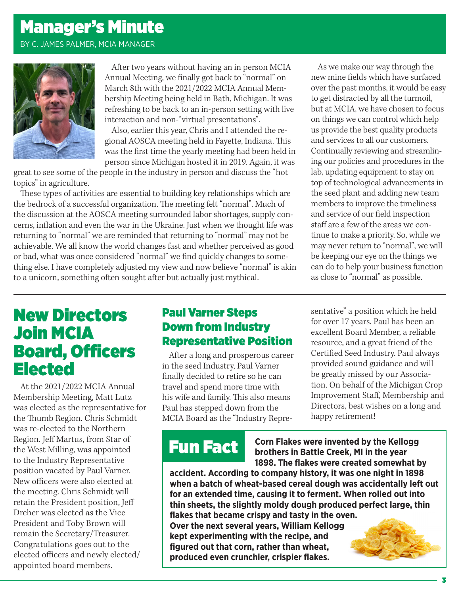### Manager's Minute

BY C. JAMES PALMER, MCIA MANAGER



After two years without having an in person MCIA Annual Meeting, we finally got back to "normal" on March 8th with the 2021/2022 MCIA Annual Membership Meeting being held in Bath, Michigan. It was refreshing to be back to an in-person setting with live interaction and non-"virtual presentations".

Also, earlier this year, Chris and I attended the regional AOSCA meeting held in Fayette, Indiana. This was the first time the yearly meeting had been held in person since Michigan hosted it in 2019. Again, it was

great to see some of the people in the industry in person and discuss the "hot topics" in agriculture.

These types of activities are essential to building key relationships which are the bedrock of a successful organization. The meeting felt "normal". Much of the discussion at the AOSCA meeting surrounded labor shortages, supply concerns, inflation and even the war in the Ukraine. Just when we thought life was returning to "normal" we are reminded that returning to "normal" may not be achievable. We all know the world changes fast and whether perceived as good or bad, what was once considered "normal" we find quickly changes to something else. I have completely adjusted my view and now believe "normal" is akin to a unicorn, something often sought after but actually just mythical.

As we make our way through the new mine fields which have surfaced over the past months, it would be easy to get distracted by all the turmoil, but at MCIA, we have chosen to focus on things we can control which help us provide the best quality products and services to all our customers. Continually reviewing and streamlining our policies and procedures in the lab, updating equipment to stay on top of technological advancements in the seed plant and adding new team members to improve the timeliness and service of our field inspection staff are a few of the areas we continue to make a priority. So, while we may never return to "normal", we will be keeping our eye on the things we can do to help your business function as close to "normal" as possible.

#### New Directors Join MCIA Board, Officers Elected

At the 2021/2022 MCIA Annual Membership Meeting, Matt Lutz was elected as the representative for the Thumb Region. Chris Schmidt was re-elected to the Northern Region. Jeff Martus, from Star of the West Milling, was appointed to the Industry Representative position vacated by Paul Varner. New officers were also elected at the meeting. Chris Schmidt will retain the President position, Jeff Dreher was elected as the Vice President and Toby Brown will remain the Secretary/Treasurer. Congratulations goes out to the elected officers and newly elected/ appointed board members.

#### Paul Varner Steps Down from Industry Representative Position

After a long and prosperous career in the seed Industry, Paul Varner finally decided to retire so he can travel and spend more time with his wife and family. This also means Paul has stepped down from the MCIA Board as the "Industry Representative" a position which he held for over 17 years. Paul has been an excellent Board Member, a reliable resource, and a great friend of the Certified Seed Industry. Paul always provided sound guidance and will be greatly missed by our Association. On behalf of the Michigan Crop Improvement Staff, Membership and Directors, best wishes on a long and happy retirement!

## Fun Fact

**Corn Flakes were invented by the Kellogg brothers in Battle Creek, MI in the year 1898. The flakes were created somewhat by** 

**accident. According to company history, it was one night in 1898 when a batch of wheat-based cereal dough was accidentally left out for an extended time, causing it to ferment. When rolled out into thin sheets, the slightly moldy dough produced perfect large, thin flakes that became crispy and tasty in the oven. Over the next several years, William Kellogg kept experimenting with the recipe, and figured out that corn, rather than wheat, produced even crunchier, crispier flakes.**